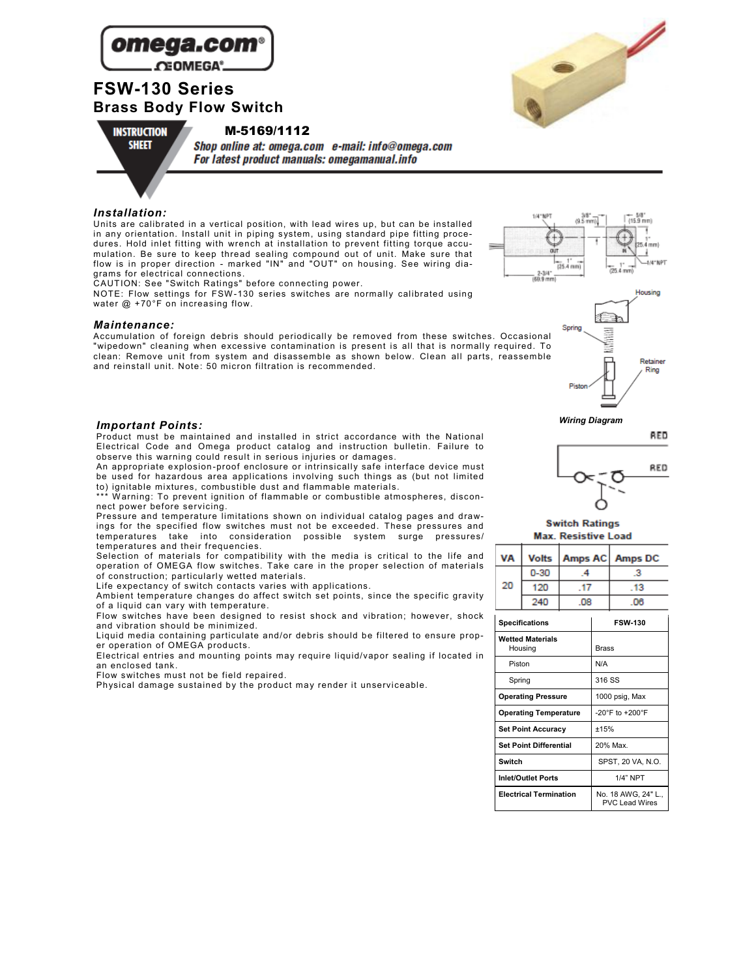

# **FSW-130 Series Brass Body Flow Switch**

M-5169/1112



**INSTRUCTION** 



Shop online at: omega.com e-mail: info@omega.com **For latest product manuals: omegamanual.info** 

#### *Installation:*

Units are calibrated in a vertical position, with lead wires up, but can be installed in any orientation. Install unit in piping system, using standard pipe fitting procedures. Hold inlet fitting with wrench at installation to prevent fitting torque accumulation. Be sure to keep thread sealing compound out of unit. Make sure that flow is in proper direction - marked "IN" and "OUT" on housing. See wiring diagrams for electrical connections.

CAUTION: See "Switch Ratings" before connecting power.

NOTE: Flow settings for FSW -130 series switches are normally calibrated using water @ +70°F on increasing flow.

#### *Maintenance:*

Accumulation of foreign debris should periodically be removed from these switches. Occasional "wipedown" cleaning when excessive contamination is present is all that is normally required. To clean: Remove unit from system and disassemble as shown below. Clean all parts, reassemble and reinstall unit. Note: 50 micron filtration is recommended.





# *Wiring Diagram Important Points:*

Product must be maintained and installed in strict accordance with the National Electrical Code and Omega product catalog and instruction bulletin. Failure to observe this warning could result in serious injuries or damages.

An appropriate explosion -proof enclosure or intrinsically safe interface device must be used for hazardous area applications involving such things as (but not limited to) ignitable mixtures, combustible dust and flammable materials.

\*\*\* W arning: To prevent ignition of flammable or combustible atmospheres, disconnect power before servicing.

Pressure and temperature limitations shown on individual catalog pages and drawings for the specified flow switches must not be exceeded. These pressures and temperatures take into consideration possible system surge pressures/ temperatures and their frequencies.

Selection of materials for compatibility with the media is critical to the life and operation of OMEGA flow switches. Take care in the proper selection of materials of construction; particularly wetted materials.

Life expectancy of switch contacts varies with applications.

Ambient temperature changes do affect switch set points, since the specific gravity of a liquid can vary with temperature.

Flow switches have been designed to resist shock and vibration; however, shock and vibration should be minimized.

Liquid media containing particulate and/or debris should be filtered to ensure proper operation of OMEGA products.

Electrical entries and mounting points may require liquid/vapor sealing if located in an enclosed tank.

Flow switches must not be field repaired.

Physical damage sustained by the product may render it unserviceable.



**Switch Ratings** 

| <b>Max. Resistive Load</b> |  |
|----------------------------|--|
|                            |  |

| VA |          |    | Volts   Amps AC   Amps DC |
|----|----------|----|---------------------------|
|    | $0 - 30$ |    |                           |
| 20 | 120      |    | 13                        |
|    | 240      | ΩR | DR                        |

| <b>Specifications</b>              | <b>FSW-130</b>                             |  |  |  |
|------------------------------------|--------------------------------------------|--|--|--|
| <b>Wetted Materials</b><br>Housing | <b>Brass</b>                               |  |  |  |
| Piston                             | N/A                                        |  |  |  |
| Spring                             | 316 SS                                     |  |  |  |
| <b>Operating Pressure</b>          | 1000 psig, Max                             |  |  |  |
| <b>Operating Temperature</b>       | $-20^{\circ}$ F to $+200^{\circ}$ F        |  |  |  |
| <b>Set Point Accuracy</b>          | ±15%                                       |  |  |  |
| <b>Set Point Differential</b>      | 20% Max.                                   |  |  |  |
| Switch                             | SPST. 20 VA. N.O.                          |  |  |  |
| <b>Inlet/Outlet Ports</b>          | 1/4" NPT                                   |  |  |  |
| <b>Electrical Termination</b>      | No. 18 AWG. 24" L<br><b>PVC Lead Wires</b> |  |  |  |